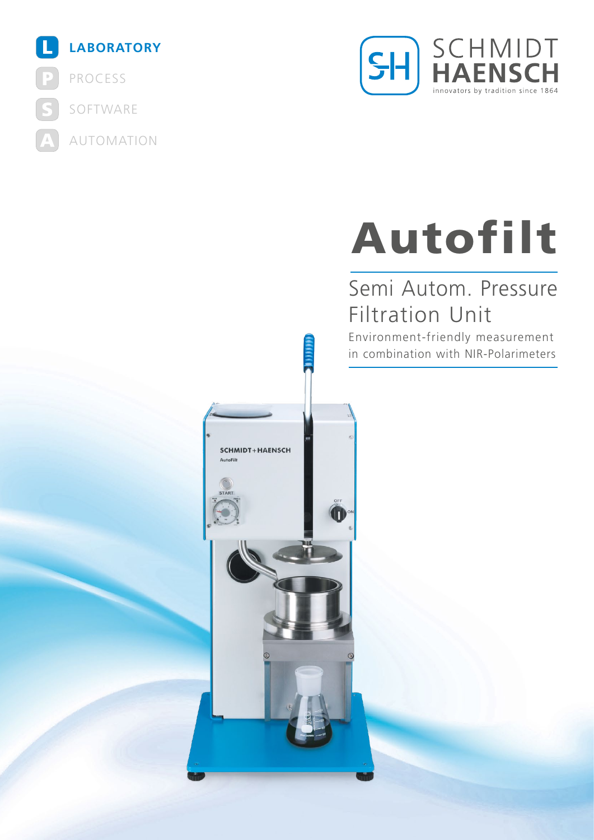



# Autofilt

## Semi Autom. Pressure Filtration Unit

Environment-friendly measurement in combination with NIR-Polarimeters